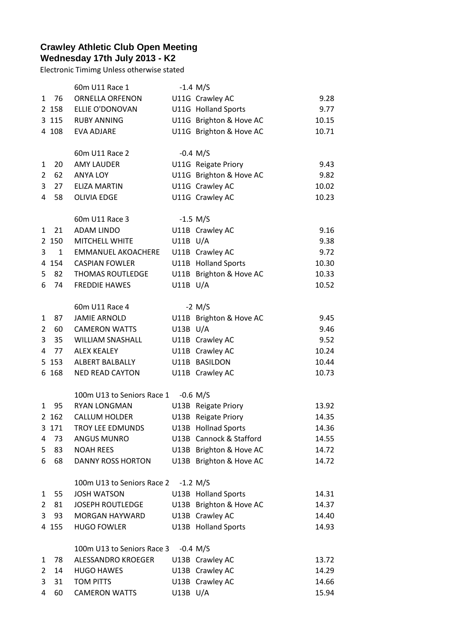## **Crawley Athletic Club Open Meeting Wednesday 17th July 2013 - K2**

Electronic Timimg Unless otherwise stated

|   |              | 60m U11 Race 1             |              | $-1.4$ M/S              |       |
|---|--------------|----------------------------|--------------|-------------------------|-------|
| 1 | 76           | <b>ORNELLA ORFENON</b>     |              | U11G Crawley AC         | 9.28  |
|   | 2 158        | ELLIE O'DONOVAN            |              | U11G Holland Sports     | 9.77  |
|   | 3 115        | <b>RUBY ANNING</b>         |              | U11G Brighton & Hove AC | 10.15 |
|   | 4 108        | <b>EVA ADJARE</b>          |              | U11G Brighton & Hove AC | 10.71 |
|   |              | 60m U11 Race 2             |              | $-0.4$ M/S              |       |
| 1 | 20           | <b>AMY LAUDER</b>          |              | U11G Reigate Priory     | 9.43  |
| 2 | 62           | <b>ANYA LOY</b>            |              | U11G Brighton & Hove AC | 9.82  |
| 3 | 27           | <b>ELIZA MARTIN</b>        |              | U11G Crawley AC         | 10.02 |
| 4 | 58           | <b>OLIVIA EDGE</b>         |              | U11G Crawley AC         | 10.23 |
|   |              | 60m U11 Race 3             |              | $-1.5$ M/S              |       |
| 1 | 21           | <b>ADAM LINDO</b>          |              | U11B Crawley AC         | 9.16  |
|   | 2 150        | <b>MITCHELL WHITE</b>      | $U11B$ $U/A$ |                         | 9.38  |
| 3 | $\mathbf{1}$ | <b>EMMANUEL AKOACHERE</b>  |              | U11B Crawley AC         | 9.72  |
|   | 4 154        | <b>CASPIAN FOWLER</b>      |              | U11B Holland Sports     | 10.30 |
| 5 | 82           | <b>THOMAS ROUTLEDGE</b>    |              |                         | 10.33 |
|   |              |                            |              | U11B Brighton & Hove AC |       |
| 6 | 74           | <b>FREDDIE HAWES</b>       | $U11B$ $U/A$ |                         | 10.52 |
|   |              | 60m U11 Race 4             |              | $-2$ M/S                |       |
| 1 | 87           | <b>JAMIE ARNOLD</b>        |              | U11B Brighton & Hove AC | 9.45  |
| 2 | 60           | <b>CAMERON WATTS</b>       | $U13B$ $U/A$ |                         | 9.46  |
| 3 | 35           | <b>WILLIAM SNASHALL</b>    |              | U11B Crawley AC         | 9.52  |
| 4 | 77           | <b>ALEX KEALEY</b>         |              | U11B Crawley AC         | 10.24 |
|   | 5 1 5 3      | ALBERT BALBALLY            |              | U11B BASILDON           | 10.44 |
|   | 6 168        | <b>NED READ CAYTON</b>     |              | U11B Crawley AC         | 10.73 |
|   |              | 100m U13 to Seniors Race 1 |              | $-0.6$ M/S              |       |
| 1 | 95           | <b>RYAN LONGMAN</b>        |              | U13B Reigate Priory     | 13.92 |
|   | 2 162        | <b>CALLUM HOLDER</b>       |              | U13B Reigate Priory     | 14.35 |
| 3 | 171          | <b>TROY LEE EDMUNDS</b>    |              | U13B Hollnad Sports     | 14.36 |
| 4 | 73           | <b>ANGUS MUNRO</b>         |              | U13B Cannock & Stafford | 14.55 |
| 5 | 83           | <b>NOAH REES</b>           |              | U13B Brighton & Hove AC | 14.72 |
| 6 | 68           | <b>DANNY ROSS HORTON</b>   |              | U13B Brighton & Hove AC | 14.72 |
|   |              | 100m U13 to Seniors Race 2 |              | $-1.2$ M/S              |       |
| 1 | 55           | <b>JOSH WATSON</b>         |              | U13B Holland Sports     | 14.31 |
| 2 | 81           | <b>JOSEPH ROUTLEDGE</b>    |              | U13B Brighton & Hove AC | 14.37 |
| 3 | 93           | MORGAN HAYWARD             |              | U13B Crawley AC         | 14.40 |
|   | 4 155        | <b>HUGO FOWLER</b>         |              | U13B Holland Sports     | 14.93 |
|   |              | 100m U13 to Seniors Race 3 |              |                         |       |
|   |              |                            |              | $-0.4$ M/S              |       |
| 1 | 78           | ALESSANDRO KROEGER         |              | U13B Crawley AC         | 13.72 |
| 2 | 14           | <b>HUGO HAWES</b>          |              | U13B Crawley AC         | 14.29 |
| 3 | 31           | <b>TOM PITTS</b>           |              | U13B Crawley AC         | 14.66 |
| 4 | 60           | <b>CAMERON WATTS</b>       | U13B U/A     |                         | 15.94 |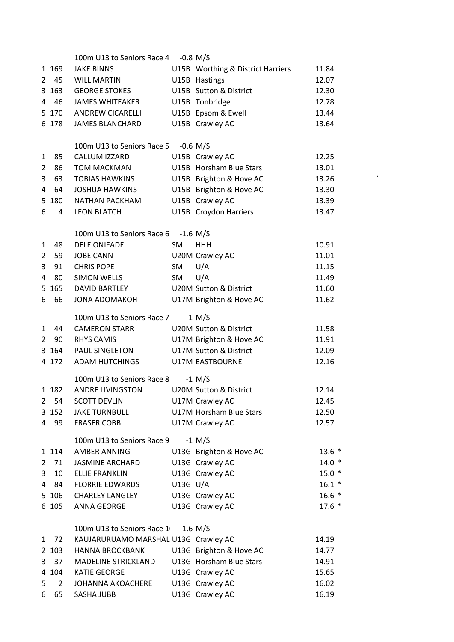|                |                | 100m U13 to Seniors Race 4 -0.8 M/S  |          |                                   |                       |
|----------------|----------------|--------------------------------------|----------|-----------------------------------|-----------------------|
|                | 1 1 6 9        | <b>JAKE BINNS</b>                    |          | U15B Worthing & District Harriers | 11.84                 |
| $\overline{2}$ | 45             | WILL MARTIN                          |          | U15B Hastings                     | 12.07                 |
|                | 3 163          | <b>GEORGE STOKES</b>                 |          | U15B Sutton & District            | 12.30                 |
| 4              | - 46           | JAMES WHITEAKER                      |          | U15B Tonbridge                    | 12.78                 |
|                | 5 170          | <b>ANDREW CICARELLI</b>              |          | U15B Epsom & Ewell                | 13.44                 |
|                | 6 178          | <b>JAMES BLANCHARD</b>               |          | U15B Crawley AC                   | 13.64                 |
|                |                |                                      |          |                                   |                       |
|                |                | 100m U13 to Seniors Race 5           |          | $-0.6$ M/S                        |                       |
| 1              | 85             | CALLUM IZZARD                        |          | U15B Crawley AC                   | 12.25                 |
| 2              | 86             | TOM MACKMAN                          |          | U15B Horsham Blue Stars           | 13.01                 |
| 3              | 63             | <b>TOBIAS HAWKINS</b>                |          | U15B Brighton & Hove AC           | $\checkmark$<br>13.26 |
| 4              | 64             | <b>JOSHUA HAWKINS</b>                |          | U15B Brighton & Hove AC           | 13.30                 |
|                | 5 180          | NATHAN PACKHAM                       |          | U15B Crawley AC                   | 13.39                 |
| 6              | 4              | <b>LEON BLATCH</b>                   |          | U15B Croydon Harriers             | 13.47                 |
|                |                |                                      |          |                                   |                       |
|                |                | 100m U13 to Seniors Race 6 -1.6 M/S  |          |                                   |                       |
| 1              | 48             | <b>DELE ONIFADE</b>                  | SM       | <b>HHH</b>                        | 10.91                 |
| $\overline{2}$ | 59             | <b>JOBE CANN</b>                     |          | U20M Crawley AC                   | 11.01                 |
| 3              | 91             | <b>CHRIS POPE</b>                    | SM       | U/A                               | 11.15                 |
| 4              | 80             | SIMON WELLS                          | SM       | U/A                               | 11.49                 |
| 5              | 165            | DAVID BARTLEY                        |          | <b>U20M Sutton &amp; District</b> | 11.60                 |
| 6              | 66             | <b>JONA ADOMAKOH</b>                 |          | U17M Brighton & Hove AC           | 11.62                 |
|                |                |                                      |          |                                   |                       |
|                |                | 100m U13 to Seniors Race 7           |          | $-1$ M/S                          |                       |
| $\mathbf{1}$   | 44             | <b>CAMERON STARR</b>                 |          | <b>U20M Sutton &amp; District</b> | 11.58                 |
| $\overline{2}$ | 90             | <b>RHYS CAMIS</b>                    |          | U17M Brighton & Hove AC           | 11.91                 |
|                | 3 164          | PAUL SINGLETON                       |          | U17M Sutton & District            | 12.09                 |
|                | 4 172          | <b>ADAM HUTCHINGS</b>                |          | <b>U17M EASTBOURNE</b>            | 12.16                 |
|                |                | 100m U13 to Seniors Race 8           |          | $-1$ M/S                          |                       |
|                | 1 182          | <b>ANDRE LIVINGSTON</b>              |          | <b>U20M Sutton &amp; District</b> | 12.14                 |
| $\overline{2}$ | 54             | <b>SCOTT DEVLIN</b>                  |          | U17M Crawley AC                   | 12.45                 |
|                | 3 152          | <b>JAKE TURNBULL</b>                 |          | U17M Horsham Blue Stars           | 12.50                 |
| 4              | 99             | <b>FRASER COBB</b>                   |          | U17M Crawley AC                   | 12.57                 |
|                |                |                                      |          |                                   |                       |
|                |                | 100m U13 to Seniors Race 9           |          | $-1$ M/S                          |                       |
|                | 1 1 1 4        | <b>AMBER ANNING</b>                  |          | U13G Brighton & Hove AC           | $13.6*$               |
| 2              | 71             | <b>JASMINE ARCHARD</b>               |          | U13G Crawley AC                   | $14.0*$               |
| 3              | 10             | <b>ELLIE FRANKLIN</b>                |          | U13G Crawley AC                   | $15.0*$               |
| 4              | 84             | <b>FLORRIE EDWARDS</b>               | U13G U/A |                                   | $16.1*$               |
|                | 5 106          | <b>CHARLEY LANGLEY</b>               |          | U13G Crawley AC                   | $16.6*$               |
|                | 6 105          | ANNA GEORGE                          |          | U13G Crawley AC                   | $17.6*$               |
|                |                |                                      |          |                                   |                       |
|                |                | 100m U13 to Seniors Race 1 -1.6 M/S  |          |                                   |                       |
| $\mathbf{1}$   | 72             | KAUJARURUAMO MARSHAL U13G Crawley AC |          |                                   | 14.19                 |
|                | 2 103          | <b>HANNA BROCKBANK</b>               |          | U13G Brighton & Hove AC           | 14.77                 |
| 3              | 37             | <b>MADELINE STRICKLAND</b>           |          | U13G Horsham Blue Stars           | 14.91                 |
|                | 4 104          | <b>KATIE GEORGE</b>                  |          | U13G Crawley AC                   | 15.65                 |
| 5              | $\overline{2}$ | <b>JOHANNA AKOACHERE</b>             |          | U13G Crawley AC                   | 16.02                 |
| 6              | 65             | SASHA JUBB                           |          | U13G Crawley AC                   | 16.19                 |
|                |                |                                      |          |                                   |                       |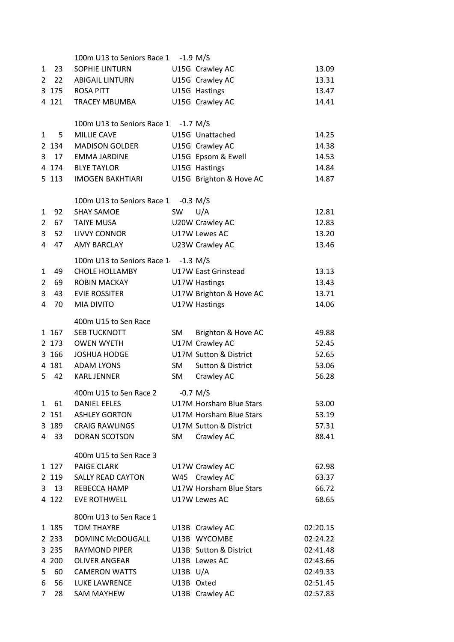|                |         | 100m U13 to Seniors Race 1 -1.9 M/S  |              |                         |          |
|----------------|---------|--------------------------------------|--------------|-------------------------|----------|
| 1              | 23      | SOPHIE LINTURN                       |              | U15G Crawley AC         | 13.09    |
| $\overline{2}$ | 22      | <b>ABIGAIL LINTURN</b>               |              | U15G Crawley AC         | 13.31    |
|                | 3 175   | ROSA PITT                            |              | U15G Hastings           | 13.47    |
|                | 4 121   | <b>TRACEY MBUMBA</b>                 |              | U15G Crawley AC         | 14.41    |
|                |         | 100m U13 to Seniors Race 1 -1.7 M/S  |              |                         |          |
| 1              | 5       | <b>MILLIE CAVE</b>                   |              | U15G Unattached         | 14.25    |
|                | 2 134   | <b>MADISON GOLDER</b>                |              | U15G Crawley AC         | 14.38    |
| 3              | 17      | <b>EMMA JARDINE</b>                  |              | U15G Epsom & Ewell      | 14.53    |
|                | 4 174   | <b>BLYE TAYLOR</b>                   |              | U15G Hastings           | 14.84    |
|                | 5 113   | <b>IMOGEN BAKHTIARI</b>              |              | U15G Brighton & Hove AC | 14.87    |
|                |         | 100m U13 to Seniors Race 1. -0.3 M/S |              |                         |          |
| 1              | 92      | <b>SHAY SAMOE</b>                    | SW           | U/A                     | 12.81    |
| 2              | 67      | <b>TAIYE MUSA</b>                    |              | U20W Crawley AC         | 12.83    |
| 3              | 52      | <b>LIVVY CONNOR</b>                  |              | U17W Lewes AC           | 13.20    |
| 4              | 47      | <b>AMY BARCLAY</b>                   |              | U23W Crawley AC         | 13.46    |
|                |         | 100m U13 to Seniors Race 1 -1.3 M/S  |              |                         |          |
| 1              | 49      | <b>CHOLE HOLLAMBY</b>                |              | U17W East Grinstead     | 13.13    |
| 2              | 69      | <b>ROBIN MACKAY</b>                  |              | U17W Hastings           | 13.43    |
| 3              | 43      | <b>EVIE ROSSITER</b>                 |              | U17W Brighton & Hove AC | 13.71    |
| 4              | 70      | MIA DIVITO                           |              | U17W Hastings           | 14.06    |
|                |         | 400m U15 to Sen Race                 |              |                         |          |
|                | 1 167   | <b>SEB TUCKNOTT</b>                  | SM           | Brighton & Hove AC      | 49.88    |
|                | 2 173   | <b>OWEN WYETH</b>                    |              | U17M Crawley AC         | 52.45    |
|                | 3 166   | <b>JOSHUA HODGE</b>                  |              | U17M Sutton & District  | 52.65    |
|                | 4 181   | <b>ADAM LYONS</b>                    | SM           | Sutton & District       | 53.06    |
| 5              | 42      | <b>KARL JENNER</b>                   | SM           | Crawley AC              | 56.28    |
|                |         | 400m U15 to Sen Race 2               |              | $-0.7$ M/S              |          |
|                | 1 61    | <b>DANIEL EELES</b>                  |              | U17M Horsham Blue Stars | 53.00    |
|                | 2 151   | <b>ASHLEY GORTON</b>                 |              | U17M Horsham Blue Stars | 53.19    |
|                | 3 189   | <b>CRAIG RAWLINGS</b>                |              | U17M Sutton & District  | 57.31    |
| $\overline{4}$ | 33      | DORAN SCOTSON                        | SM           | Crawley AC              | 88.41    |
|                |         | 400m U15 to Sen Race 3               |              |                         |          |
|                | 1 127   | <b>PAIGE CLARK</b>                   |              | U17W Crawley AC         | 62.98    |
|                | 2 119   | <b>SALLY READ CAYTON</b>             |              | W45 Crawley AC          | 63.37    |
| 3              | 13      | REBECCA HAMP                         |              | U17W Horsham Blue Stars | 66.72    |
|                | 4 122   | <b>EVE ROTHWELL</b>                  |              | U17W Lewes AC           | 68.65    |
|                |         | 800m U13 to Sen Race 1               |              |                         |          |
|                | 1 185   | <b>TOM THAYRE</b>                    |              | U13B Crawley AC         | 02:20.15 |
|                | 2 2 3 3 | DOMINC McDOUGALL                     |              | U13B WYCOMBE            | 02:24.22 |
|                | 3 2 3 5 | <b>RAYMOND PIPER</b>                 |              | U13B Sutton & District  | 02:41.48 |
|                | 4 200   | <b>OLIVER ANGEAR</b>                 |              | U13B Lewes AC           | 02:43.66 |
| 5              | 60      | <b>CAMERON WATTS</b>                 | $U13B$ $U/A$ |                         | 02:49.33 |
| 6              | 56      | LUKE LAWRENCE                        | U13B Oxted   |                         | 02:51.45 |
| 7              | 28      | SAM MAYHEW                           |              | U13B Crawley AC         | 02:57.83 |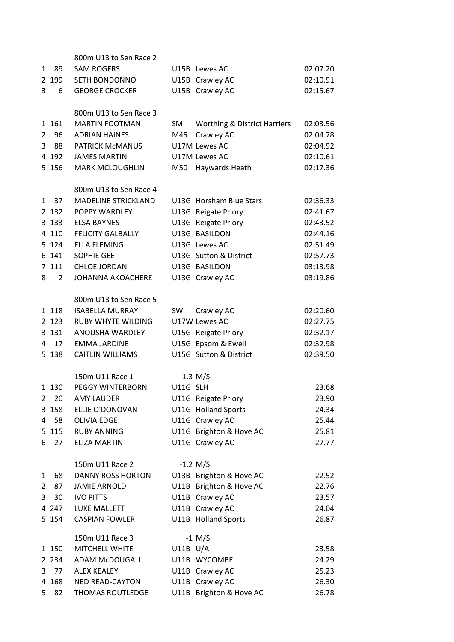|                |                | 800m U13 to Sen Race 2                |           |                                         |          |
|----------------|----------------|---------------------------------------|-----------|-----------------------------------------|----------|
| 1              | 89             | <b>SAM ROGERS</b>                     |           | U15B Lewes AC                           | 02:07.20 |
|                | 2 199          | <b>SETH BONDONNO</b>                  |           | U15B Crawley AC                         | 02:10.91 |
| 3              | 6              | <b>GEORGE CROCKER</b>                 |           | U15B Crawley AC                         | 02:15.67 |
|                |                |                                       |           |                                         |          |
|                |                | 800m U13 to Sen Race 3                |           |                                         |          |
|                | 1 161          | <b>MARTIN FOOTMAN</b>                 | SM        | <b>Worthing &amp; District Harriers</b> | 02:03.56 |
| $\overline{2}$ | 96             | <b>ADRIAN HAINES</b>                  | M45       | Crawley AC                              | 02:04.78 |
| 3              | 88             | PATRICK McMANUS                       |           | U17M Lewes AC                           | 02:04.92 |
|                | 4 192          | <b>JAMES MARTIN</b>                   |           | U17M Lewes AC                           | 02:10.61 |
|                | 5 156          | <b>MARK MCLOUGHLIN</b>                | M50       | Haywards Heath                          | 02:17.36 |
|                |                | 800m U13 to Sen Race 4                |           |                                         |          |
| 1              | 37             | <b>MADELINE STRICKLAND</b>            |           | U13G Horsham Blue Stars                 | 02:36.33 |
|                | 2 132          | POPPY WARDLEY                         |           | U13G Reigate Priory                     | 02:41.67 |
|                | 3 1 3 3        | <b>ELSA BAYNES</b>                    |           | U13G Reigate Priory                     | 02:43.52 |
|                | 4 1 1 0        | <b>FELICITY GALBALLY</b>              |           | U13G BASILDON                           | 02:44.16 |
|                | 5 124          | <b>ELLA FLEMING</b>                   |           | U13G Lewes AC                           | 02:51.49 |
|                | 6 141          | <b>SOPHIE GEE</b>                     |           | U13G Sutton & District                  | 02:57.73 |
|                | 7 111          | <b>CHLOE JORDAN</b>                   |           | U13G BASILDON                           | 03:13.98 |
| 8              | $\overline{2}$ | <b>JOHANNA AKOACHERE</b>              |           | U13G Crawley AC                         | 03:19.86 |
|                |                |                                       |           |                                         |          |
|                |                | 800m U13 to Sen Race 5                |           |                                         |          |
|                | 1 1 1 8        | <b>ISABELLA MURRAY</b>                | <b>SW</b> | Crawley AC                              | 02:20.60 |
|                | 2 1 2 3        | <b>RUBY WHYTE WILDING</b>             |           | U17W Lewes AC                           | 02:27.75 |
|                | 3 131          | ANOUSHA WARDLEY                       |           | U15G Reigate Priory                     | 02:32.17 |
| 4              | 17             | <b>EMMA JARDINE</b>                   |           | U15G Epsom & Ewell                      | 02:32.98 |
|                | 5 138          | <b>CAITLIN WILLIAMS</b>               |           | U15G Sutton & District                  | 02:39.50 |
|                |                | 150m U11 Race 1                       |           |                                         |          |
|                |                |                                       | U11G SLH  | $-1.3$ M/S                              |          |
| $\overline{2}$ | 1 1 3 0        | PEGGY WINTERBORN<br><b>AMY LAUDER</b> |           |                                         | 23.68    |
|                | 20             |                                       |           | U11G Reigate Priory                     | 23.90    |
|                | 3 158          | ELLIE O'DONOVAN                       |           | U11G Holland Sports                     | 24.34    |
| 4              | 58             | <b>OLIVIA EDGE</b>                    |           | U11G Crawley AC                         | 25.44    |
|                | 5 115          | <b>RUBY ANNING</b>                    |           | U11G Brighton & Hove AC                 | 25.81    |
| 6              | 27             | <b>ELIZA MARTIN</b>                   |           | U11G Crawley AC                         | 27.77    |
|                |                | 150m U11 Race 2                       |           | $-1.2 M/S$                              |          |
| 1              | 68             | <b>DANNY ROSS HORTON</b>              |           | U13B Brighton & Hove AC                 | 22.52    |
| 2              | 87             | <b>JAMIE ARNOLD</b>                   |           | U11B Brighton & Hove AC                 | 22.76    |
| 3              | 30             | <b>IVO PITTS</b>                      |           | U11B Crawley AC                         | 23.57    |
|                | 4 2 4 7        | LUKE MALLETT                          |           | U11B Crawley AC                         | 24.04    |
|                | 5 1 5 4        | <b>CASPIAN FOWLER</b>                 |           | U11B Holland Sports                     | 26.87    |
|                |                | 150m U11 Race 3                       |           | $-1$ M/S                                |          |
|                | 1 150          | MITCHELL WHITE                        | U11B U/A  |                                         | 23.58    |
|                | 2 2 3 4        | ADAM McDOUGALL                        |           | U11B WYCOMBE                            | 24.29    |
| 3              | 77             | <b>ALEX KEALEY</b>                    |           | U11B Crawley AC                         | 25.23    |
|                | 4 168          | <b>NED READ-CAYTON</b>                |           | U11B Crawley AC                         | 26.30    |
| 5              | 82             | THOMAS ROUTLEDGE                      |           | U11B Brighton & Hove AC                 | 26.78    |
|                |                |                                       |           |                                         |          |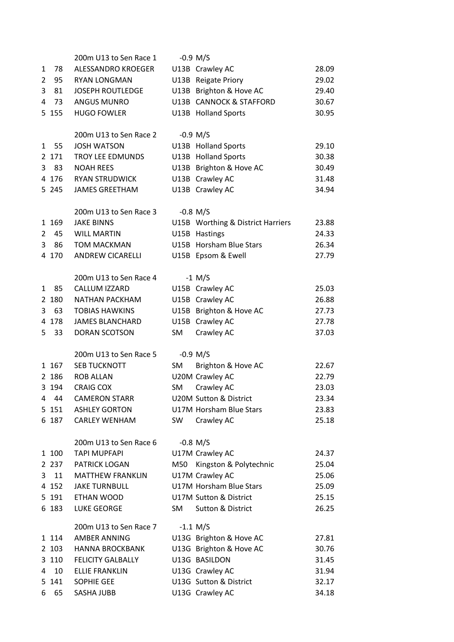|                |         | 200m U13 to Sen Race 1   |     | $-0.9$ M/S                        |       |
|----------------|---------|--------------------------|-----|-----------------------------------|-------|
| 1              | 78      | ALESSANDRO KROEGER       |     | U13B Crawley AC                   | 28.09 |
| $\overline{2}$ | 95      | <b>RYAN LONGMAN</b>      |     | U13B Reigate Priory               | 29.02 |
| 3              | 81      | <b>JOSEPH ROUTLEDGE</b>  |     | U13B Brighton & Hove AC           | 29.40 |
| 4              | 73      | <b>ANGUS MUNRO</b>       |     | U13B CANNOCK & STAFFORD           | 30.67 |
|                | 5 155   | <b>HUGO FOWLER</b>       |     | U13B Holland Sports               | 30.95 |
|                |         |                          |     |                                   |       |
|                |         | 200m U13 to Sen Race 2   |     | $-0.9$ M/S                        |       |
| 1              | 55      | <b>JOSH WATSON</b>       |     | U13B Holland Sports               | 29.10 |
|                | 2 171   | <b>TROY LEE EDMUNDS</b>  |     | U13B Holland Sports               | 30.38 |
| 3              | 83      | <b>NOAH REES</b>         |     | U13B Brighton & Hove AC           | 30.49 |
|                | 4 176   | <b>RYAN STRUDWICK</b>    |     | U13B Crawley AC                   | 31.48 |
|                | 5 2 4 5 | <b>JAMES GREETHAM</b>    |     | U13B Crawley AC                   | 34.94 |
|                |         |                          |     |                                   |       |
|                |         | 200m U13 to Sen Race 3   |     | $-0.8$ M/S                        |       |
|                | 1 169   | <b>JAKE BINNS</b>        |     | U15B Worthing & District Harriers | 23.88 |
| 2              | 45      | <b>WILL MARTIN</b>       |     | U15B Hastings                     | 24.33 |
| 3              | 86      | <b>TOM MACKMAN</b>       |     | U15B Horsham Blue Stars           | 26.34 |
|                | 4 170   | <b>ANDREW CICARELLI</b>  |     | U15B Epsom & Ewell                | 27.79 |
|                |         |                          |     |                                   |       |
|                |         | 200m U13 to Sen Race 4   |     | $-1$ M/S                          |       |
| 1              | 85      | <b>CALLUM IZZARD</b>     |     | U15B Crawley AC                   | 25.03 |
|                | 2 180   | <b>NATHAN PACKHAM</b>    |     | U15B Crawley AC                   | 26.88 |
| 3              | 63      | <b>TOBIAS HAWKINS</b>    |     | U15B Brighton & Hove AC           | 27.73 |
| 4              | 178     | <b>JAMES BLANCHARD</b>   |     | U15B Crawley AC                   | 27.78 |
| 5              | 33      | <b>DORAN SCOTSON</b>     | SM  | Crawley AC                        | 37.03 |
|                |         |                          |     |                                   |       |
|                |         | 200m U13 to Sen Race 5   |     | $-0.9$ M/S                        |       |
|                | 1 167   | SEB TUCKNOTT             | SM  | Brighton & Hove AC                | 22.67 |
|                | 2 186   | <b>ROB ALLAN</b>         |     | U20M Crawley AC                   | 22.79 |
|                | 3 194   | <b>CRAIG COX</b>         | SM  | Crawley AC                        | 23.03 |
| 4              | 44      | <b>CAMERON STARR</b>     |     | <b>U20M Sutton &amp; District</b> | 23.34 |
|                | 5 151   | <b>ASHLEY GORTON</b>     |     | U17M Horsham Blue Stars           | 23.83 |
|                | 6 187   | <b>CARLEY WENHAM</b>     | SW  | Crawley AC                        | 25.18 |
|                |         |                          |     |                                   |       |
|                |         | 200m U13 to Sen Race 6   |     | $-0.8$ M/S                        |       |
|                | 1 100   | <b>TAPI MUPFAPI</b>      |     | U17M Crawley AC                   | 24.37 |
|                | 2 237   | PATRICK LOGAN            | M50 | Kingston & Polytechnic            | 25.04 |
| 3              | 11      | <b>MATTHEW FRANKLIN</b>  |     | U17M Crawley AC                   | 25.06 |
|                | 4 152   | <b>JAKE TURNBULL</b>     |     | U17M Horsham Blue Stars           | 25.09 |
|                | 5 191   | ETHAN WOOD               |     | U17M Sutton & District            | 25.15 |
|                | 6 183   | LUKE GEORGE              | SM  | Sutton & District                 | 26.25 |
|                |         |                          |     |                                   |       |
|                |         | 200m U13 to Sen Race 7   |     | $-1.1$ M/S                        |       |
|                | 1 1 1 4 | <b>AMBER ANNING</b>      |     | U13G Brighton & Hove AC           | 27.81 |
|                | 2 103   | <b>HANNA BROCKBANK</b>   |     | U13G Brighton & Hove AC           | 30.76 |
|                | 3 1 1 0 | <b>FELICITY GALBALLY</b> |     | U13G BASILDON                     | 31.45 |
| 4              | 10      | <b>ELLIE FRANKLIN</b>    |     | U13G Crawley AC                   | 31.94 |
|                | 5 141   | <b>SOPHIE GEE</b>        |     | U13G Sutton & District            | 32.17 |
| 6              | 65      | SASHA JUBB               |     | U13G Crawley AC                   | 34.18 |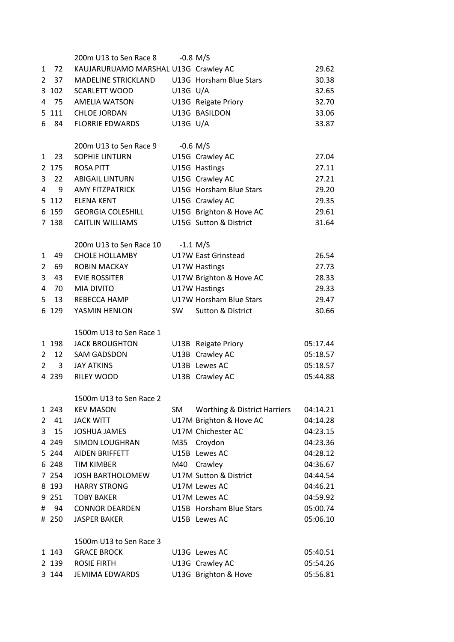|                |                 | 200m U13 to Sen Race 8               |            | $-0.8$ M/S                              |          |
|----------------|-----------------|--------------------------------------|------------|-----------------------------------------|----------|
| 1              | 72              | KAUJARURUAMO MARSHAL U13G Crawley AC |            |                                         | 29.62    |
| 2              | 37 <sup>2</sup> | <b>MADELINE STRICKLAND</b>           |            | U13G Horsham Blue Stars                 | 30.38    |
| 3              | 102             | <b>SCARLETT WOOD</b>                 | $U13G$ U/A |                                         | 32.65    |
| 4              | 75              | <b>AMELIA WATSON</b>                 |            | U13G Reigate Priory                     | 32.70    |
|                | 5 111           | <b>CHLOE JORDAN</b>                  |            | U13G BASILDON                           | 33.06    |
| 6              | 84              | <b>FLORRIE EDWARDS</b>               | U13G U/A   |                                         | 33.87    |
|                |                 |                                      |            |                                         |          |
|                |                 | 200m U13 to Sen Race 9               |            | $-0.6$ M/S                              |          |
| 1              | 23              | <b>SOPHIE LINTURN</b>                |            | U15G Crawley AC                         | 27.04    |
|                | 2 175           | <b>ROSA PITT</b>                     |            | U15G Hastings                           | 27.11    |
| 3              | 22              | <b>ABIGAIL LINTURN</b>               |            | U15G Crawley AC                         | 27.21    |
| 4              | 9               | <b>AMY FITZPATRICK</b>               |            | U15G Horsham Blue Stars                 | 29.20    |
|                | 5 112           | <b>ELENA KENT</b>                    |            | U15G Crawley AC                         | 29.35    |
|                | 6 159           | <b>GEORGIA COLESHILL</b>             |            | U15G Brighton & Hove AC                 | 29.61    |
|                | 7 138           | <b>CAITLIN WILLIAMS</b>              |            | U15G Sutton & District                  | 31.64    |
|                |                 |                                      |            |                                         |          |
|                |                 | 200m U13 to Sen Race 10              |            | $-1.1$ M/S                              |          |
| 1              | 49              | <b>CHOLE HOLLAMBY</b>                |            | U17W East Grinstead                     | 26.54    |
| 2              | 69              | <b>ROBIN MACKAY</b>                  |            | U17W Hastings                           | 27.73    |
| 3              | 43              | <b>EVIE ROSSITER</b>                 |            | U17W Brighton & Hove AC                 | 28.33    |
| 4              | 70              | <b>MIA DIVITO</b>                    |            | U17W Hastings                           | 29.33    |
| 5              | 13              | REBECCA HAMP                         |            | U17W Horsham Blue Stars                 | 29.47    |
| 6              | 129             | YASMIN HENLON                        | <b>SW</b>  | <b>Sutton &amp; District</b>            | 30.66    |
|                |                 |                                      |            |                                         |          |
|                |                 | 1500m U13 to Sen Race 1              |            |                                         |          |
|                | 1 198           | <b>JACK BROUGHTON</b>                |            | U13B Reigate Priory                     | 05:17.44 |
| 2              | 12              | <b>SAM GADSDON</b>                   |            | U13B Crawley AC                         | 05:18.57 |
| 2              | 3               | <b>JAY ATKINS</b>                    |            | U13B Lewes AC                           | 05:18.57 |
|                | 4 2 3 9         | RILEY WOOD                           |            | U13B Crawley AC                         | 05:44.88 |
|                |                 |                                      |            |                                         |          |
|                |                 | 1500m U13 to Sen Race 2              |            |                                         |          |
|                | 1 243           | <b>KEV MASON</b>                     | SM         | <b>Worthing &amp; District Harriers</b> | 04:14.21 |
| $\overline{2}$ | 41              | <b>JACK WITT</b>                     |            | U17M Brighton & Hove AC                 | 04:14.28 |
| 3              | 15              | <b>JOSHUA JAMES</b>                  |            | U17M Chichester AC                      | 04:23.15 |
|                | 4 2 4 9         | <b>SIMON LOUGHRAN</b>                | M35        | Croydon                                 | 04:23.36 |
|                | 5 244           | AIDEN BRIFFETT                       |            | U15B Lewes AC                           | 04:28.12 |
|                | 6 248           | <b>TIM KIMBER</b>                    | M40        | Crawley                                 | 04:36.67 |
|                | 7 2 5 4         | <b>JOSH BARTHOLOMEW</b>              |            | U17M Sutton & District                  | 04:44.54 |
|                | 8 193           | <b>HARRY STRONG</b>                  |            | U17M Lewes AC                           | 04:46.21 |
|                | 9 251           | <b>TOBY BAKER</b>                    |            | U17M Lewes AC                           | 04:59.92 |
| #              | 94              | <b>CONNOR DEARDEN</b>                |            | U15B Horsham Blue Stars                 | 05:00.74 |
|                | # 250           | <b>JASPER BAKER</b>                  |            | U15B Lewes AC                           | 05:06.10 |
|                |                 |                                      |            |                                         |          |
|                |                 | 1500m U13 to Sen Race 3              |            |                                         |          |
|                | 1 143           | <b>GRACE BROCK</b>                   |            | U13G Lewes AC                           | 05:40.51 |
|                | 2 139           | <b>ROSIE FIRTH</b>                   |            | U13G Crawley AC                         | 05:54.26 |
|                | 3 144           | <b>JEMIMA EDWARDS</b>                |            | U13G Brighton & Hove                    | 05:56.81 |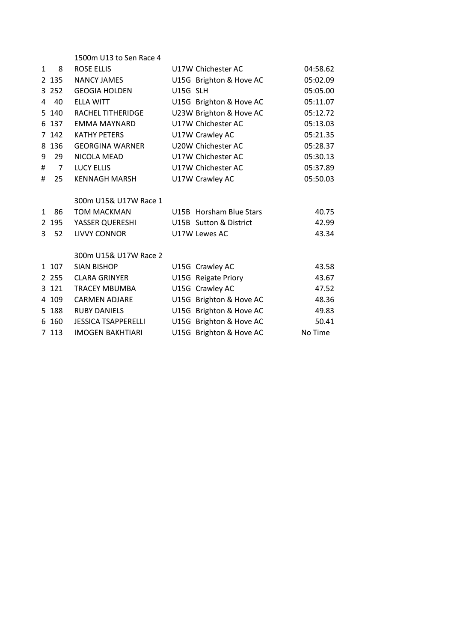|              |                | 1500m U13 to Sen Race 4    |          |                         |          |
|--------------|----------------|----------------------------|----------|-------------------------|----------|
| $\mathbf{1}$ | 8              | <b>ROSE ELLIS</b>          |          | U17W Chichester AC      | 04:58.62 |
|              | 2 135          | <b>NANCY JAMES</b>         |          | U15G Brighton & Hove AC | 05:02.09 |
|              | 3 2 5 2        | <b>GEOGIA HOLDEN</b>       | U15G SLH |                         | 05:05.00 |
| 4            | 40             | <b>ELLA WITT</b>           |          | U15G Brighton & Hove AC | 05:11.07 |
|              | 5 140          | <b>RACHEL TITHERIDGE</b>   |          | U23W Brighton & Hove AC | 05:12.72 |
|              | 6 137          | <b>EMMA MAYNARD</b>        |          | U17W Chichester AC      | 05:13.03 |
|              | 7 142          | <b>KATHY PETERS</b>        |          | U17W Crawley AC         | 05:21.35 |
|              | 8 1 3 6        | <b>GEORGINA WARNER</b>     |          | U20W Chichester AC      | 05:28.37 |
| 9            | 29             | NICOLA MEAD                |          | U17W Chichester AC      | 05:30.13 |
| #            | $\overline{7}$ | <b>LUCY ELLIS</b>          |          | U17W Chichester AC      | 05:37.89 |
| #            | 25             | <b>KENNAGH MARSH</b>       |          | U17W Crawley AC         | 05:50.03 |
|              |                |                            |          |                         |          |
|              |                | 300m U15& U17W Race 1      |          |                         |          |
| $\mathbf{1}$ | 86             | <b>TOM MACKMAN</b>         |          | U15B Horsham Blue Stars | 40.75    |
|              | 2 195          | YASSER QUERESHI            |          | U15B Sutton & District  | 42.99    |
| 3            | 52             | <b>LIVVY CONNOR</b>        |          | U17W Lewes AC           | 43.34    |
|              |                |                            |          |                         |          |
|              |                | 300m U15& U17W Race 2      |          |                         |          |
|              | 1 107          | <b>SIAN BISHOP</b>         |          | U15G Crawley AC         | 43.58    |
|              | 2 2 5 5        | <b>CLARA GRINYER</b>       |          | U15G Reigate Priory     | 43.67    |
|              | 3 121          | <b>TRACEY MBUMBA</b>       |          | U15G Crawley AC         | 47.52    |
|              | 4 109          | <b>CARMEN ADJARE</b>       |          | U15G Brighton & Hove AC | 48.36    |
|              | 5 188          | <b>RUBY DANIELS</b>        |          | U15G Brighton & Hove AC | 49.83    |
|              | 6 160          | <b>JESSICA TSAPPERELLI</b> |          | U15G Brighton & Hove AC | 50.41    |
|              | 7 1 1 3        | <b>IMOGEN BAKHTIARI</b>    |          | U15G Brighton & Hove AC | No Time  |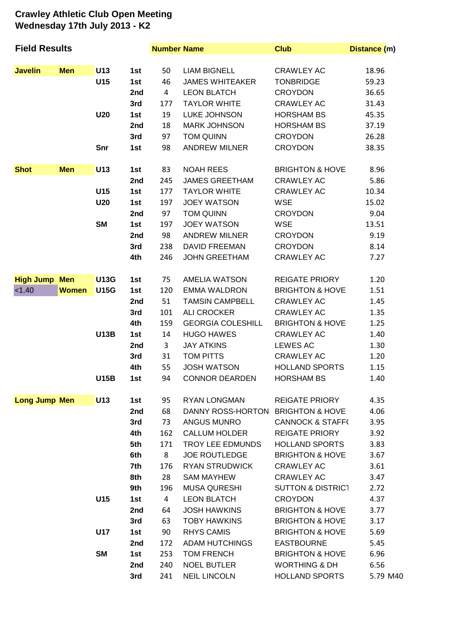## **Crawley Athletic Club Open Meeting Wednesday 17th July 2013 - K2**

| <b>Field Results</b> |              |             | <b>Number Name</b> |                | <b>Club</b>                       | Distance (m)                 |          |
|----------------------|--------------|-------------|--------------------|----------------|-----------------------------------|------------------------------|----------|
| <b>Javelin</b>       | <b>Men</b>   | U13         | 1st                | 50             | <b>LIAM BIGNELL</b>               | <b>CRAWLEY AC</b>            | 18.96    |
|                      |              | U15         | 1st                | 46             | <b>JAMES WHITEAKER</b>            | <b>TONBRIDGE</b>             | 59.23    |
|                      |              |             | 2nd                | $\overline{4}$ | <b>LEON BLATCH</b>                | <b>CROYDON</b>               | 36.65    |
|                      |              |             | 3rd                | 177            | <b>TAYLOR WHITE</b>               | <b>CRAWLEY AC</b>            | 31.43    |
|                      |              | <b>U20</b>  | 1st                | 19             | LUKE JOHNSON                      | <b>HORSHAM BS</b>            | 45.35    |
|                      |              |             | 2nd                | 18             | <b>MARK JOHNSON</b>               | <b>HORSHAM BS</b>            | 37.19    |
|                      |              |             | 3rd                | 97             | <b>TOM QUINN</b>                  | <b>CROYDON</b>               | 26.28    |
|                      |              | Snr         | 1st                | 98             | <b>ANDREW MILNER</b>              | <b>CROYDON</b>               | 38.35    |
| <b>Shot</b>          | <b>Men</b>   | U13         | 1st                | 83             | <b>NOAH REES</b>                  | <b>BRIGHTON &amp; HOVE</b>   | 8.96     |
|                      |              |             | 2nd                | 245            | <b>JAMES GREETHAM</b>             | <b>CRAWLEY AC</b>            | 5.86     |
|                      |              | U15         | 1st                | 177            | <b>TAYLOR WHITE</b>               | <b>CRAWLEY AC</b>            | 10.34    |
|                      |              | <b>U20</b>  | 1st                | 197            | <b>JOEY WATSON</b>                | <b>WSE</b>                   | 15.02    |
|                      |              |             | 2nd                | 97             | <b>TOM QUINN</b>                  | <b>CROYDON</b>               | 9.04     |
|                      |              | <b>SM</b>   | 1st                | 197            | <b>JOEY WATSON</b>                | <b>WSE</b>                   | 13.51    |
|                      |              |             | 2nd                | 98             | <b>ANDREW MILNER</b>              | <b>CROYDON</b>               | 9.19     |
|                      |              |             | 3rd                | 238            | <b>DAVID FREEMAN</b>              | <b>CROYDON</b>               | 8.14     |
|                      |              |             | 4th                | 246            | <b>JOHN GREETHAM</b>              | <b>CRAWLEY AC</b>            | 7.27     |
| <b>High Jump</b>     | <b>Men</b>   | <b>U13G</b> | 1st                | 75             | <b>AMELIA WATSON</b>              | <b>REIGATE PRIORY</b>        | 1.20     |
| < 1.40               | <b>Women</b> | <b>U15G</b> | 1st                | 120            | <b>EMMA WALDRON</b>               | <b>BRIGHTON &amp; HOVE</b>   | 1.51     |
|                      |              |             | 2nd                | 51             | <b>TAMSIN CAMPBELL</b>            | <b>CRAWLEY AC</b>            | 1.45     |
|                      |              |             | 3rd                | 101            | <b>ALI CROCKER</b>                | <b>CRAWLEY AC</b>            | 1.35     |
|                      |              |             | 4th                | 159            | <b>GEORGIA COLESHILL</b>          | <b>BRIGHTON &amp; HOVE</b>   | 1.25     |
|                      |              | <b>U13B</b> | 1st                | 14             | <b>HUGO HAWES</b>                 | <b>CRAWLEY AC</b>            | 1.40     |
|                      |              |             | 2nd                | 3              | <b>JAY ATKINS</b>                 | <b>LEWES AC</b>              | 1.30     |
|                      |              |             | 3rd                | 31             | <b>TOM PITTS</b>                  | <b>CRAWLEY AC</b>            | 1.20     |
|                      |              |             | 4th                | 55             | <b>JOSH WATSON</b>                | <b>HOLLAND SPORTS</b>        | 1.15     |
|                      |              | <b>U15B</b> | 1st                | 94             | <b>CONNOR DEARDEN</b>             | <b>HORSHAM BS</b>            | 1.40     |
| <b>Long Jump Men</b> |              | U13         | 1st                | 95             | <b>RYAN LONGMAN</b>               | <b>REIGATE PRIORY</b>        | 4.35     |
|                      |              |             | 2nd                | 68             | DANNY ROSS-HORTON BRIGHTON & HOVE |                              | 4.06     |
|                      |              |             | 3rd                | 73             | ANGUS MUNRO                       | <b>CANNOCK &amp; STAFF(</b>  | 3.95     |
|                      |              |             | 4th                | 162            | <b>CALLUM HOLDER</b>              | <b>REIGATE PRIORY</b>        | 3.92     |
|                      |              |             | 5th                | 171            | TROY LEE EDMUNDS                  | <b>HOLLAND SPORTS</b>        | 3.83     |
|                      |              |             | 6th                | 8              | <b>JOE ROUTLEDGE</b>              | <b>BRIGHTON &amp; HOVE</b>   | 3.67     |
|                      |              |             | 7th                | 176            | <b>RYAN STRUDWICK</b>             | <b>CRAWLEY AC</b>            | 3.61     |
|                      |              |             | 8th                | 28             | <b>SAM MAYHEW</b>                 | <b>CRAWLEY AC</b>            | 3.47     |
|                      |              |             | 9th                | 196            | <b>MUSA QURESHI</b>               | <b>SUTTON &amp; DISTRICT</b> | 2.72     |
|                      |              | U15         | 1st                | $\overline{4}$ | <b>LEON BLATCH</b>                | <b>CROYDON</b>               | 4.37     |
|                      |              |             | 2nd                | 64             | <b>JOSH HAWKINS</b>               | <b>BRIGHTON &amp; HOVE</b>   | 3.77     |
|                      |              |             | 3rd                | 63             | <b>TOBY HAWKINS</b>               | <b>BRIGHTON &amp; HOVE</b>   | 3.17     |
|                      |              | <b>U17</b>  | 1st                | 90             | <b>RHYS CAMIS</b>                 | <b>BRIGHTON &amp; HOVE</b>   | 5.69     |
|                      |              |             | 2nd                | 172            | <b>ADAM HUTCHINGS</b>             | <b>EASTBOURNE</b>            | 5.45     |
|                      |              | <b>SM</b>   | 1st                | 253            | <b>TOM FRENCH</b>                 | <b>BRIGHTON &amp; HOVE</b>   | 6.96     |
|                      |              |             | 2nd                | 240            | <b>NOEL BUTLER</b>                | <b>WORTHING &amp; DH</b>     | 6.56     |
|                      |              |             | 3rd                | 241            | <b>NEIL LINCOLN</b>               | <b>HOLLAND SPORTS</b>        | 5.79 M40 |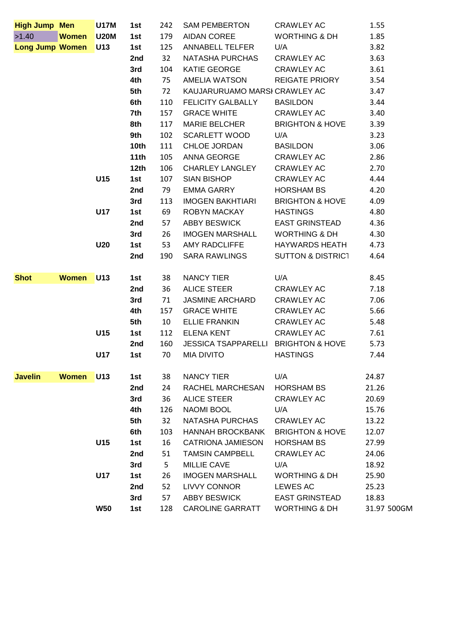| <b>High Jump Men</b>   |              | <b>U17M</b>     | 1st              | 242 | <b>SAM PEMBERTON</b>                | CRAWLEY AC                   | 1.55        |
|------------------------|--------------|-----------------|------------------|-----|-------------------------------------|------------------------------|-------------|
| >1.40                  | Women U20M   |                 | 1st              | 179 | AIDAN COREE                         | <b>WORTHING &amp; DH</b>     | 1.85        |
| <b>Long Jump Women</b> |              | U13             | 1st              | 125 | ANNABELL TELFER                     | U/A                          | 3.82        |
|                        |              |                 | 2nd              | 32  | NATASHA PURCHAS                     | <b>CRAWLEY AC</b>            | 3.63        |
|                        |              |                 | 3rd              | 104 | KATIE GEORGE                        | <b>CRAWLEY AC</b>            | 3.61        |
|                        |              |                 | 4th              | 75  | AMELIA WATSON                       | <b>REIGATE PRIORY</b>        | 3.54        |
|                        |              |                 | 5th              | 72  | KAUJARURUAMO MARSI CRAWLEY AC       |                              | 3.47        |
|                        |              |                 | 6th              | 110 | <b>FELICITY GALBALLY</b>            | <b>BASILDON</b>              | 3.44        |
|                        |              |                 | 7th              | 157 | <b>GRACE WHITE</b>                  | <b>CRAWLEY AC</b>            | 3.40        |
|                        |              |                 | 8th              | 117 | <b>MARIE BELCHER</b>                | <b>BRIGHTON &amp; HOVE</b>   | 3.39        |
|                        |              |                 | 9th              | 102 | <b>SCARLETT WOOD</b>                | U/A                          | 3.23        |
|                        |              |                 | 10 <sub>th</sub> | 111 | <b>CHLOE JORDAN</b>                 | <b>BASILDON</b>              | 3.06        |
|                        |              |                 | 11th             | 105 | ANNA GEORGE                         | <b>CRAWLEY AC</b>            | 2.86        |
|                        |              |                 | 12th             | 106 | <b>CHARLEY LANGLEY</b>              | <b>CRAWLEY AC</b>            | 2.70        |
|                        |              | U15             | 1st              | 107 | <b>SIAN BISHOP</b>                  | <b>CRAWLEY AC</b>            | 4.44        |
|                        |              |                 | 2nd              | 79  | EMMA GARRY                          | <b>HORSHAM BS</b>            | 4.20        |
|                        |              |                 | 3rd              | 113 | <b>IMOGEN BAKHTIARI</b>             | <b>BRIGHTON &amp; HOVE</b>   | 4.09        |
|                        |              | <b>U17</b>      | 1st              | 69  | ROBYN MACKAY                        | <b>HASTINGS</b>              | 4.80        |
|                        |              |                 | 2nd              | 57  | ABBY BESWICK                        | <b>EAST GRINSTEAD</b>        | 4.36        |
|                        |              |                 | 3rd              | 26  | <b>IMOGEN MARSHALL</b>              | <b>WORTHING &amp; DH</b>     | 4.30        |
|                        |              | U20             | 1st              | 53  | AMY RADCLIFFE                       | HAYWARDS HEATH               | 4.73        |
|                        |              |                 | 2nd              | 190 | <b>SARA RAWLINGS</b>                | <b>SUTTON &amp; DISTRICT</b> | 4.64        |
|                        |              |                 |                  |     |                                     |                              |             |
| <b>Shot</b>            | <b>Women</b> | <b>U13</b>      | 1st              | 38  | NANCY TIER                          | U/A                          | 8.45        |
|                        |              |                 | 2nd              | 36  | <b>ALICE STEER</b>                  | <b>CRAWLEY AC</b>            | 7.18        |
|                        |              |                 | 3rd              | 71  | <b>JASMINE ARCHARD</b>              | <b>CRAWLEY AC</b>            | 7.06        |
|                        |              |                 | 4th              | 157 | <b>GRACE WHITE</b>                  | <b>CRAWLEY AC</b>            | 5.66        |
|                        |              |                 | 5th              | 10  | <b>ELLIE FRANKIN</b>                | <b>CRAWLEY AC</b>            | 5.48        |
|                        |              | U15             | 1st              | 112 | <b>ELENA KENT</b>                   | <b>CRAWLEY AC</b>            | 7.61        |
|                        |              |                 | 2nd              | 160 | JESSICA TSAPPARELLI BRIGHTON & HOVE |                              | 5.73        |
|                        |              | <b>U17</b>      | 1st              | 70  | <b>MIA DIVITO</b>                   | <b>HASTINGS</b>              | 7.44        |
|                        |              |                 |                  |     |                                     |                              |             |
| <b>Javelin</b>         | <b>Women</b> | U <sub>13</sub> | 1st              | 38  | NANCY TIER                          | U/A                          | 24.87       |
|                        |              |                 | 2nd              | 24  | RACHEL MARCHESAN                    | <b>HORSHAM BS</b>            | 21.26       |
|                        |              |                 | 3rd              | 36  | <b>ALICE STEER</b>                  | <b>CRAWLEY AC</b>            | 20.69       |
|                        |              |                 | 4th              | 126 | <b>NAOMI BOOL</b>                   | U/A                          | 15.76       |
|                        |              |                 | 5th              | 32  | NATASHA PURCHAS                     | <b>CRAWLEY AC</b>            | 13.22       |
|                        |              |                 | 6th              | 103 | <b>HANNAH BROCKBANK</b>             | <b>BRIGHTON &amp; HOVE</b>   | 12.07       |
|                        |              | U15             | 1st              | 16  | <b>CATRIONA JAMIESON</b>            | <b>HORSHAM BS</b>            | 27.99       |
|                        |              |                 | 2nd              | 51  | <b>TAMSIN CAMPBELL</b>              | <b>CRAWLEY AC</b>            | 24.06       |
|                        |              |                 | 3rd              | 5   | <b>MILLIE CAVE</b>                  | U/A                          | 18.92       |
|                        |              | U17             | 1st              | 26  | <b>IMOGEN MARSHALL</b>              | <b>WORTHING &amp; DH</b>     | 25.90       |
|                        |              |                 | 2nd              | 52  | <b>LIVVY CONNOR</b>                 | LEWES AC                     | 25.23       |
|                        |              |                 | 3rd              | 57  | <b>ABBY BESWICK</b>                 | <b>EAST GRINSTEAD</b>        | 18.83       |
|                        |              | <b>W50</b>      | 1st              | 128 | <b>CAROLINE GARRATT</b>             | <b>WORTHING &amp; DH</b>     | 31.97 500GM |
|                        |              |                 |                  |     |                                     |                              |             |